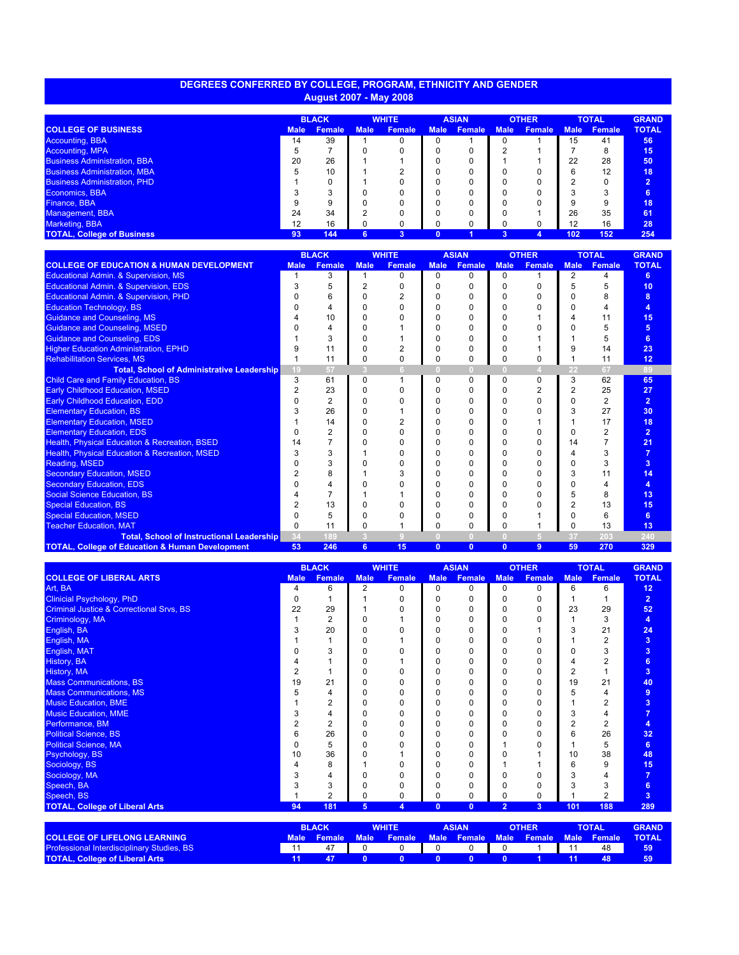## **DEGREES CONFERRED BY COLLEGE, PROGRAM, ETHNICITY AND GENDER August 2007 - May 2008**

|                                     |             | <b>BLACK</b>  |             | <b>WHITE</b>  |             | <b>ASIAN</b>  |             | <b>OTHER</b>  |             | <b>TOTAL</b> | <b>GRAND</b>   |
|-------------------------------------|-------------|---------------|-------------|---------------|-------------|---------------|-------------|---------------|-------------|--------------|----------------|
| <b>COLLEGE OF BUSINESS</b>          | <b>Male</b> | <b>Female</b> | <b>Male</b> | <b>Female</b> | <b>Male</b> | <b>Female</b> | <b>Male</b> | <b>Female</b> | <b>Male</b> | Female       | <b>TOTAL</b>   |
| Accounting, BBA                     | 14          | 39            |             |               |             |               |             |               | 15          | 41           | 56             |
| <b>Accounting, MPA</b>              |             |               |             |               |             |               |             |               |             | 8            | 15             |
| <b>Business Administration, BBA</b> | 20          | 26            |             |               |             |               |             |               | 22          | 28           | 50             |
| <b>Business Administration, MBA</b> |             | 10            |             |               |             |               |             |               |             | 12           | 18             |
| <b>Business Administration, PHD</b> |             |               |             |               |             |               |             |               |             |              | $\overline{2}$ |
| Economics, BBA                      |             | $\sqrt{2}$    |             |               |             |               |             |               |             |              |                |
| Finance, BBA                        |             | 9             |             |               |             |               |             |               |             |              | 18             |
| Management, BBA                     | 24          | 34            | ◠           |               |             |               |             |               | 26          | 35           | 61             |
| Marketing, BBA                      | 12          | 16            | 0           |               |             |               |             |               | 12          | 16           | 28             |
| <b>TOTAL, College of Business</b>   | 93          | 144           | 6           |               |             |               |             |               | 102         | 152          | 254            |

|                                                            |             | <b>BLACK</b>  |             | <b>WHITE</b>  |                | <b>ASIAN</b>   |              | <b>OTHER</b>  | <b>TOTAL</b>   |               | <b>GRAND</b>   |
|------------------------------------------------------------|-------------|---------------|-------------|---------------|----------------|----------------|--------------|---------------|----------------|---------------|----------------|
| <b>COLLEGE OF EDUCATION &amp; HUMAN DEVELOPMENT</b>        | <b>Male</b> | <b>Female</b> | <b>Male</b> | <b>Female</b> | <b>Male</b>    | <b>Female</b>  | <b>Male</b>  | <b>Female</b> | <b>Male</b>    | <b>Female</b> | <b>TOTAL</b>   |
| <b>Educational Admin. &amp; Supervision, MS</b>            |             | 3             |             | 0             | 0              | U              | 0            |               | $\overline{2}$ | Δ             | 6              |
| Educational Admin. & Supervision, EDS                      |             | 5             |             |               |                |                |              |               |                | 5             | 10             |
| Educational Admin. & Supervision, PHD                      |             | 6             |             |               |                | ი              |              |               |                | 8             |                |
| <b>Education Technology, BS</b>                            |             |               |             |               |                | ი              |              |               |                | Δ             |                |
| <b>Guidance and Counseling, MS</b>                         |             | 10            |             |               |                | ი              |              |               |                | 11            | 15             |
| <b>Guidance and Counseling, MSED</b>                       |             |               |             |               |                | ი              |              |               |                | 5             | 5              |
| <b>Guidance and Counseling, EDS</b>                        |             |               |             |               |                | ი              |              |               |                | 5             | 6              |
| <b>Higher Education Administration, EPHD</b>               |             | 11            |             |               |                | o              |              |               |                | 14            | 23             |
| <b>Rehabilitation Services, MS</b>                         |             | 11            | 0           | 0             | o              | o              | 0            |               |                | 11            | 12             |
| <b>Total, School of Administrative Leadership</b>          | 19          | 57            | ß           | 6.            | 0.             | $\Omega$       | $\Box$       |               | 22             | 67            | 89             |
| Child Care and Family Education, BS                        | 3           | 61            | $\Omega$    |               | <sup>0</sup>   | <sup>0</sup>   | <sup>0</sup> | $\Omega$      | 3              | 62            | 65             |
| <b>Early Childhood Education, MSED</b>                     |             | 23            | ი           |               |                |                |              |               |                | 25            | 27             |
| <b>Early Childhood Education, EDD</b>                      |             |               |             |               |                | 0              |              |               |                | 2             | $\overline{2}$ |
| <b>Elementary Education, BS</b>                            |             | 26            |             |               |                | ი              |              |               |                | 27            | 30             |
| <b>Elementary Education, MSED</b>                          |             | 14            |             |               |                | ი              |              |               |                | 17            | 18             |
| <b>Elementary Education, EDS</b>                           |             |               |             |               |                | ი              |              |               |                |               | $2^{\circ}$    |
| <b>Health, Physical Education &amp; Recreation, BSED</b>   |             |               |             |               |                | ი              |              | C             | 14             |               | 21             |
| <b>Health, Physical Education &amp; Recreation, MSED</b>   |             | 3             |             |               |                | ი              |              |               |                | 3             |                |
| Reading, MSED                                              |             | 3             |             |               |                | ი              |              |               |                | 3             | 3              |
| <b>Secondary Education, MSED</b>                           |             | 8             |             |               |                | ი              |              |               |                | 11            | 14             |
| <b>Secondary Education, EDS</b>                            |             |               |             |               |                | ი              |              |               |                |               | 4              |
| <b>Social Science Education, BS</b>                        |             |               |             |               |                | ი              |              |               |                | 8             | 13             |
| <b>Special Education, BS</b>                               |             | 13            |             |               |                | 0              | n            |               |                | 13            | 15             |
| <b>Special Education, MSED</b>                             |             | 5             |             |               |                |                |              |               |                | 6             | 6              |
| <b>Teacher Education, MAT</b>                              |             | 11            | 0           |               |                |                |              |               |                | 13            | 13             |
| <b>Total, School of Instructional Leadership</b>           | 34          | 189           | -3          |               |                |                |              |               | -37            | 203           | 240            |
| <b>TOTAL, College of Education &amp; Human Development</b> | 53          | 246           | 6           | 15            | $\overline{0}$ | $\overline{0}$ | $\Omega$     | 9             | 59             | 270           | 329            |

|                                                     |                                                              | <b>BLACK</b>   |             | <b>WHITE</b>                                                      |              | <b>ASIAN</b>  | <b>OTHER</b>   |               | <b>TOTAL</b> |               | <b>GRAND</b>   |
|-----------------------------------------------------|--------------------------------------------------------------|----------------|-------------|-------------------------------------------------------------------|--------------|---------------|----------------|---------------|--------------|---------------|----------------|
| <b>COLLEGE OF LIBERAL ARTS</b>                      | <b>Male</b>                                                  | <b>Female</b>  | <b>Male</b> | <b>Female</b>                                                     | <b>Male</b>  | <b>Female</b> | <b>Male</b>    | <b>Female</b> | <b>Male</b>  | <b>Female</b> | <b>TOTAL</b>   |
| Art, BA                                             | 4                                                            | 6              | 2           | $\Omega$                                                          | 0            | $\Omega$      | $\Omega$       | 0             | 6            | 6             | 12             |
| <b>Clinicial Psychology, PhD</b>                    |                                                              |                |             | U                                                                 | $\Omega$     | $\Omega$      | $\Omega$       |               |              |               | $\overline{2}$ |
| <b>Criminal Justice &amp; Correctional Srvs, BS</b> | 22                                                           | 29             |             | O                                                                 | 0            | $\Omega$      | $\Omega$       | 0             | 23           | 29            | 52             |
| Criminology, MA                                     |                                                              | 2              | 0           |                                                                   | 0            | $\Omega$      | $\Omega$       |               |              | 3             | 4              |
| English, BA                                         |                                                              | 20             | U           | n                                                                 | ი            | 0             | 0              |               |              | 21            | 24             |
| English, MA                                         |                                                              |                | U           |                                                                   | $\Omega$     | $\Omega$      | $\Omega$       | n             |              | 2             | 3              |
| English, MAT                                        |                                                              | 3              |             | n                                                                 |              | $\Omega$      | O              |               |              | 3             | 3 <sup>2</sup> |
| <b>History, BA</b>                                  |                                                              |                |             |                                                                   |              | 0             | C              |               |              | 2             | 6              |
| History, MA                                         |                                                              |                | O           | 0                                                                 | 0            | $\Omega$      | $\Omega$       | 0             |              |               | $\overline{3}$ |
| <b>Mass Communications, BS</b>                      | 19                                                           | 21             | O           | ŋ                                                                 | 0            | $\Omega$      | 0              |               | 19           | 21            | 40             |
| <b>Mass Communications, MS</b>                      |                                                              | 4              | U           | O                                                                 | $\Omega$     | $\Omega$      | O              |               |              | 4             | 9              |
| <b>Music Education, BME</b>                         |                                                              | 2              | U           | ŋ                                                                 | <sup>0</sup> | $\Omega$      | O              |               |              |               | 3 <sup>2</sup> |
| <b>Music Education, MME</b>                         |                                                              | 4              | U           | 0                                                                 | $\Omega$     | $\Omega$      | O              |               |              | 4             | $\overline{7}$ |
| Performance, BM                                     |                                                              | $\overline{2}$ | O           | 0                                                                 |              | O             | C              |               |              | 2             | $\overline{4}$ |
| <b>Political Science, BS</b>                        |                                                              | 26             | O           | 0                                                                 | 0            | $\Omega$      | O              |               |              | 26            | 32             |
| <b>Political Science, MA</b>                        |                                                              | 5              | U           | ŋ                                                                 |              | $\Omega$      |                |               |              | 5             | 6              |
| Psychology, BS                                      | 10                                                           | 36             | U           |                                                                   | $\Omega$     | $\Omega$      | C              |               | 10           | 38            | 48             |
| Sociology, BS                                       |                                                              | 8              |             | n                                                                 |              | $\Omega$      |                |               |              | 9             | 15             |
| Sociology, MA                                       |                                                              | 4              |             | O                                                                 |              | O             |                |               |              |               | $\overline{7}$ |
| Speech, BA                                          |                                                              | 3              |             | 0                                                                 | 0            | $\Omega$      | 0              | ŋ             |              | 3             | 6              |
| Speech, BS                                          |                                                              | $\overline{2}$ | 0           | 0                                                                 |              | $\Omega$      | $\Omega$       | 0             |              | 2             | $\overline{3}$ |
| <b>TOTAL, College of Liberal Arts</b>               | 94                                                           | 181            | 5           | $\overline{4}$                                                    | $\mathbf{0}$ | $\Omega$      | $\overline{2}$ | 3             | 101          | 188           | 289            |
|                                                     | <b>BLACK</b><br><b>WHITE</b><br><b>ASIAN</b><br><b>OTHER</b> |                |             |                                                                   | <b>TOTAL</b> | <b>GRAND</b>  |                |               |              |               |                |
| COLLEGE OF LIFEL ONC. LEADMING                      |                                                              |                |             | Mala Pancelo Mala Pancelo Mala Pancelo Mala Pancelo Mala Pancelo. |              |               |                |               |              |               | <b>TOTAL</b>   |

|                                                   | <b>BLAUN</b> |  | <b>VVELLE</b>                                                     |  | <b>ASIAN</b> |  | UINER |  | TUTAL |  |
|---------------------------------------------------|--------------|--|-------------------------------------------------------------------|--|--------------|--|-------|--|-------|--|
| <b>COLLEGE OF LIFELONG LEARNING</b>               |              |  | Male Female Male Female Male Female Male Female Male Female TOTAL |  |              |  |       |  |       |  |
| <b>Professional Interdisciplinary Studies, BS</b> |              |  |                                                                   |  |              |  |       |  | 48    |  |
| <b>TOTAL, College of Liberal Arts</b>             |              |  |                                                                   |  |              |  |       |  |       |  |